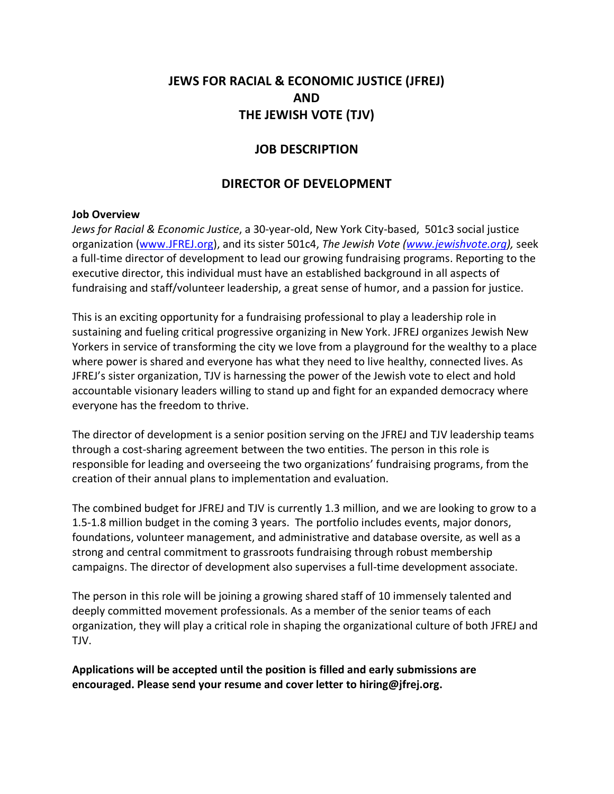# **JEWS FOR RACIAL & ECONOMIC JUSTICE (JFREJ) AND THE JEWISH VOTE (TJV)**

## **JOB DESCRIPTION**

# **DIRECTOR OF DEVELOPMENT**

#### **Job Overview**

*Jews for Racial & Economic Justice*, a 30-year-old, New York City-based, 501c3 social justice organization [\(www.JFREJ.org\)](http://www.jfrej.org/), and its sister 501c4, *The Jewish Vote [\(www.jewishvote.org\)](http://www.jewishvote.org/),* seek a full-time director of development to lead our growing fundraising programs. Reporting to the executive director, this individual must have an established background in all aspects of fundraising and staff/volunteer leadership, a great sense of humor, and a passion for justice.

This is an exciting opportunity for a fundraising professional to play a leadership role in sustaining and fueling critical progressive organizing in New York. JFREJ organizes Jewish New Yorkers in service of transforming the city we love from a playground for the wealthy to a place where power is shared and everyone has what they need to live healthy, connected lives. As JFREJ's sister organization, TJV is harnessing the power of the Jewish vote to elect and hold accountable visionary leaders willing to stand up and fight for an expanded democracy where everyone has the freedom to thrive.

The director of development is a senior position serving on the JFREJ and TJV leadership teams through a cost-sharing agreement between the two entities. The person in this role is responsible for leading and overseeing the two organizations' fundraising programs, from the creation of their annual plans to implementation and evaluation.

The combined budget for JFREJ and TJV is currently 1.3 million, and we are looking to grow to a 1.5-1.8 million budget in the coming 3 years. The portfolio includes events, major donors, foundations, volunteer management, and administrative and database oversite, as well as a strong and central commitment to grassroots fundraising through robust membership campaigns. The director of development also supervises a full-time development associate.

The person in this role will be joining a growing shared staff of 10 immensely talented and deeply committed movement professionals. As a member of the senior teams of each organization, they will play a critical role in shaping the organizational culture of both JFREJ and TJV.

**Applications will be accepted until the position is filled and early submissions are encouraged. Please send your resume and cover letter to hiring@jfrej.org.**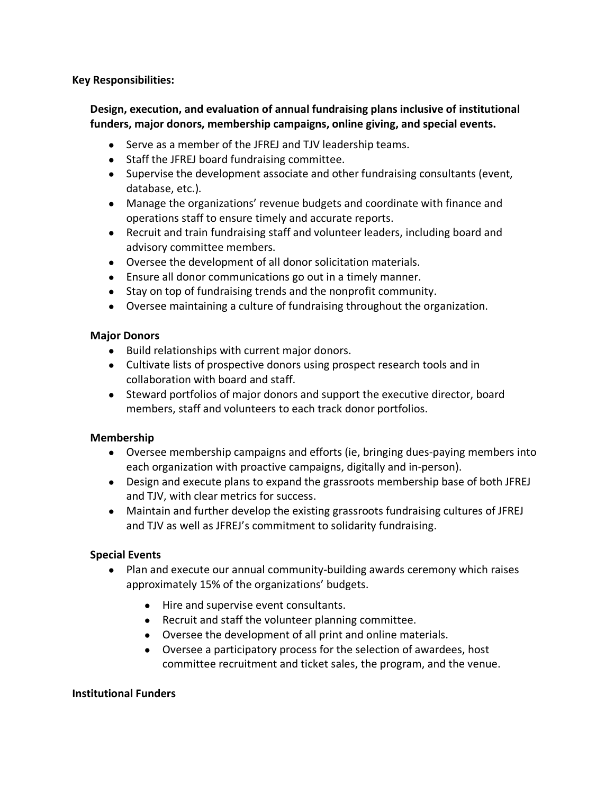**Key Responsibilities:**

## **Design, execution, and evaluation of annual fundraising plans inclusive of institutional funders, major donors, membership campaigns, online giving, and special events.**

- Serve as a member of the JFREJ and TJV leadership teams.
- Staff the JFREJ board fundraising committee.
- Supervise the development associate and other fundraising consultants (event, database, etc.).
- Manage the organizations' revenue budgets and coordinate with finance and operations staff to ensure timely and accurate reports.
- Recruit and train fundraising staff and volunteer leaders, including board and advisory committee members.
- Oversee the development of all donor solicitation materials.
- Ensure all donor communications go out in a timely manner.
- Stay on top of fundraising trends and the nonprofit community.
- Oversee maintaining a culture of fundraising throughout the organization.

#### **Major Donors**

- Build relationships with current major donors.
- Cultivate lists of prospective donors using prospect research tools and in collaboration with board and staff.
- Steward portfolios of major donors and support the executive director, board members, staff and volunteers to each track donor portfolios.

## **Membership**

- Oversee membership campaigns and efforts (ie, bringing dues-paying members into each organization with proactive campaigns, digitally and in-person).
- Design and execute plans to expand the grassroots membership base of both JFREJ and TJV, with clear metrics for success.
- Maintain and further develop the existing grassroots fundraising cultures of JFREJ and TJV as well as JFREJ's commitment to solidarity fundraising.

## **Special Events**

- Plan and execute our annual community-building awards ceremony which raises approximately 15% of the organizations' budgets.
	- Hire and supervise event consultants.
	- Recruit and staff the volunteer planning committee.
	- Oversee the development of all print and online materials.
	- Oversee a participatory process for the selection of awardees, host committee recruitment and ticket sales, the program, and the venue.

#### **Institutional Funders**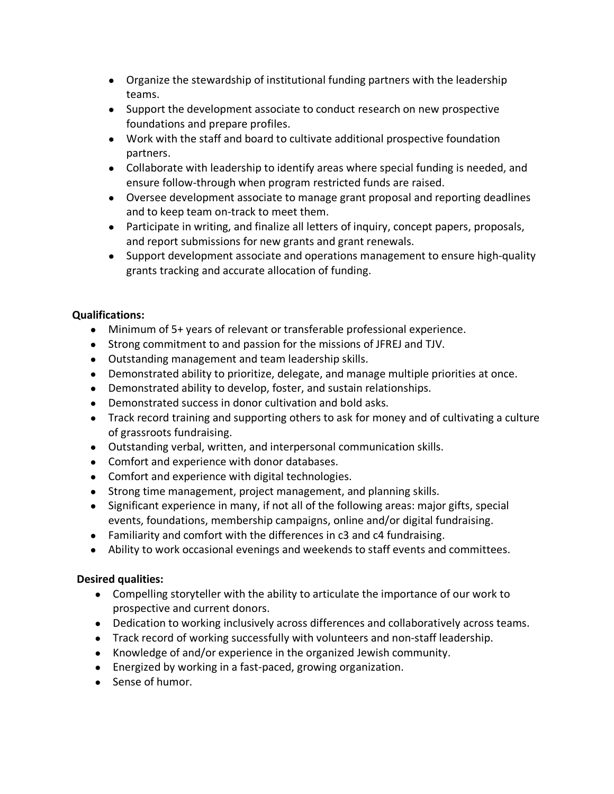- Organize the stewardship of institutional funding partners with the leadership teams.
- Support the development associate to conduct research on new prospective foundations and prepare profiles.
- Work with the staff and board to cultivate additional prospective foundation partners.
- Collaborate with leadership to identify areas where special funding is needed, and ensure follow-through when program restricted funds are raised.
- Oversee development associate to manage grant proposal and reporting deadlines and to keep team on-track to meet them.
- Participate in writing, and finalize all letters of inquiry, concept papers, proposals, and report submissions for new grants and grant renewals.
- Support development associate and operations management to ensure high-quality grants tracking and accurate allocation of funding.

## **Qualifications:**

- Minimum of 5+ years of relevant or transferable professional experience.
- Strong commitment to and passion for the missions of JFREJ and TJV.
- Outstanding management and team leadership skills.
- Demonstrated ability to prioritize, delegate, and manage multiple priorities at once.
- Demonstrated ability to develop, foster, and sustain relationships.
- Demonstrated success in donor cultivation and bold asks.
- Track record training and supporting others to ask for money and of cultivating a culture of grassroots fundraising.
- Outstanding verbal, written, and interpersonal communication skills.
- Comfort and experience with donor databases.
- Comfort and experience with digital technologies.
- Strong time management, project management, and planning skills.
- Significant experience in many, if not all of the following areas: major gifts, special events, foundations, membership campaigns, online and/or digital fundraising.
- Familiarity and comfort with the differences in c3 and c4 fundraising.
- Ability to work occasional evenings and weekends to staff events and committees.

# **Desired qualities:**

- Compelling storyteller with the ability to articulate the importance of our work to prospective and current donors.
- Dedication to working inclusively across differences and collaboratively across teams.
- Track record of working successfully with volunteers and non-staff leadership.
- Knowledge of and/or experience in the organized Jewish community.
- Energized by working in a fast-paced, growing organization.
- Sense of humor.